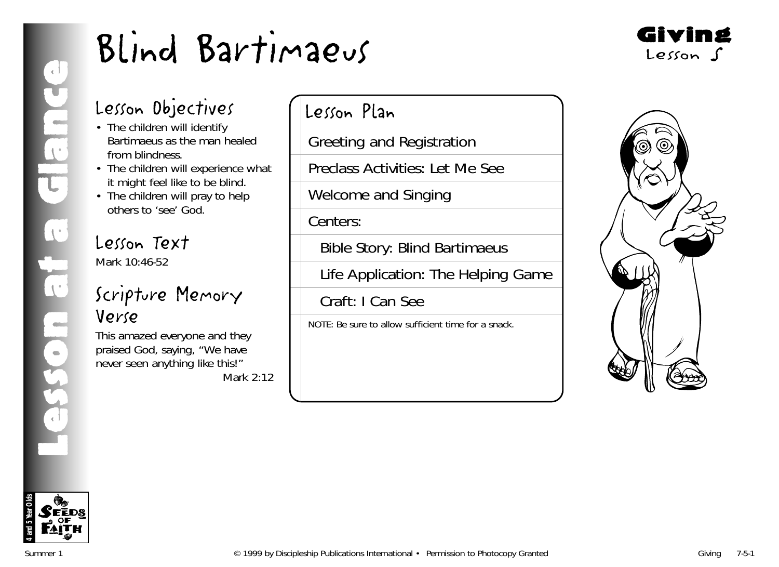

## Lesson Objectives

- The children will identify Bartimaeus as the man healed from blindness.
- The children will experience what it might feel like to be blind.
- The children will pray to help others to 'see' God.

## Lesson Text Mark 10:46-52

## Scripture Memory Verse

This amazed everyone and they praised God, saying, "We have never seen anything like this!" *Mark 2:12*

## Lesson Plan

Greeting and Registration

Preclass Activities: Let Me See

Welcome and Singing

Centers:

Bible Story: Blind Bartimaeus

Life Application: The Helping Game

Craft: I Can See

NOTE: Be sure to allow sufficient time for a snack.



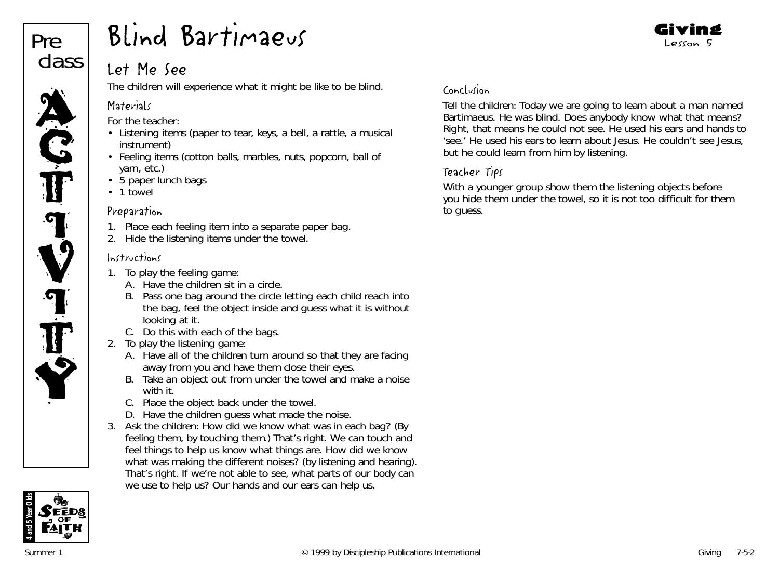

## Let Me See

The children will experience what it might be like to be blind.

## **Materials**

*For the teacher:*

- Listening items (paper to tear, keys, a bell, a rattle, a musical instrument)
- Feeling items (cotton balls, marbles, nuts, popcorn, ball of yarn, etc.)
- 5 paper lunch bags
- 1 towel

## Preparation

- 1. Place each feeling item into a separate paper bag.
- 2. Hide the listening items under the towel.

## Instructions

- 1. To play the feeling game:
	- A. Have the children sit in a circle.
	- B. Pass one bag around the circle letting each child reach into the bag, feel the object inside and guess what it is without looking at it.
	- C. Do this with each of the bags.
- 2. To play the listening game:
	- A. Have all of the children turn around so that they are facing away from you and have them close their eyes.
	- B. Take an object out from under the towel and make a noise with it.
	- C. Place the object back under the towel.
	- D. Have the children guess what made the noise.
- 3. Ask the children: *How did we know what was in each bag*? (By feeling them, by touching them.) *That's right. We can touch and feel things to help us know what things are. How did we know what was making the different noises?* (by listening and hearing). *That's right. If we're not able to see, what parts of our body can we use to help us? Our hands and our ears can help us.*

## Conclusion

Tell the children: *Today we are going to learn about a man named Bartimaeus. He was blind. Does anybody know what that means? Right, that means he could not see. He used his ears and hands to 'see.' He used his ears to learn about Jesus. He couldn't see Jesus, but he could learn from him by listening.*

Giving Lesson 5

## Teacher Tips

With a younger group show them the listening objects before you hide them under the towel, so it is not too difficult for them to guess.

# **4 and 5 Year Olds**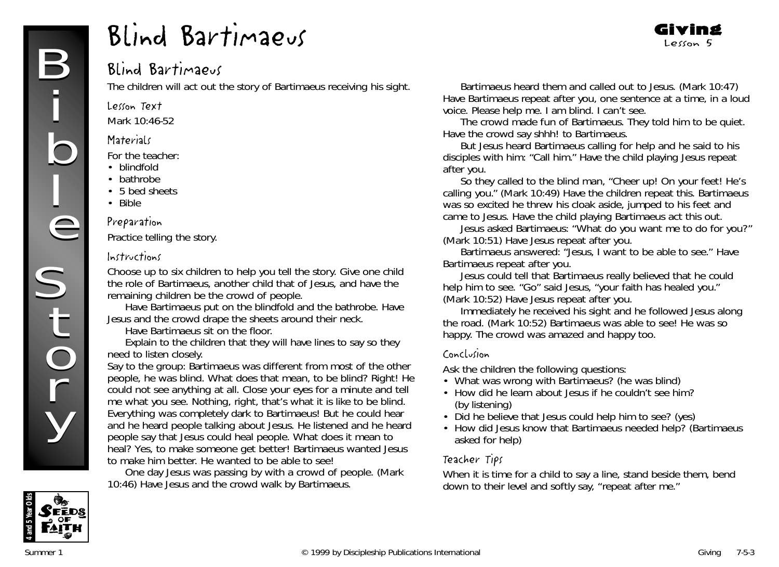## Blind Bartimaeus

The children will act out the story of Bartimaeus receiving his sight.

Lesson Text

Mark 10:46-52

#### **Materials**

*For the teacher:*

- blindfold
- bathrobe
- 5 bed sheets
- Bible

#### Preparation

Practice telling the story.

#### Instructions

Choose up to six children to help you tell the story. Give one child the role of Bartimaeus, another child that of Jesus, and have the remaining children be the crowd of people.

Have Bartimaeus put on the blindfold and the bathrobe. Have Jesus and the crowd drape the sheets around their neck.

Have Bartimaeus sit on the floor.

Explain to the children that they will have lines to say so they need to listen closely.

Say to the group: *Bartimaeus was different from most of the other people, he was blind. What does that mean, to be blind? Right! He could not see anything at all. Close your eyes for a minute and tell me what you see. Nothing, right, that's what it is like to be blind. Everything was completely dark to Bartimaeus! But he could hear and he heard people talking about Jesus. He listened and he heard people say that Jesus could heal people. What does it mean to heal? Yes, to make someone get better! Bartimaeus wanted Jesus to make him better. He wanted to be able to see!*

*One day Jesus was passing by with a crowd of people.* (Mark 10:46) Have Jesus and the crowd walk by Bartimaeus.

*Bartimaeus heard them and called out to Jesus.* (Mark 10:47) Have Bartimaeus repeat after you, one sentence at a time, in a loud voice. *Please help me. I am blind. I can't see.*

Giving Lesson 5

*The crowd made fun of Bartimaeus. They told him to be quiet.* Have the crowd say shhh! to Bartimaeus.

*But Jesus heard Bartimaeus calling for help and he said to his disciples with him: "Call him."* Have the child playing Jesus repeat after you.

*So they called to the blind man, "Cheer up! On your feet! He's calling you."* (Mark 10:49) Have the children repeat this. *Bartimaeus was so excited he threw his cloak aside, jumped to his feet and came to Jesus. Have the child playing Bartimaeus act this out.*

J*esus asked Bartimaeus: "What do you want me to do for you?"* (Mark 10:51) Have Jesus repeat after you.

*Bartimaeus answered: "Jesus, I want to be able to see*." Have Bartimaeus repeat after you.

*Jesus could tell that Bartimaeus really believed that he could help him to see. "Go" said Jesus, "your faith has healed you."*  (Mark 10:52) Have Jesus repeat after you.

*Immediately he received his sight and he followed Jesus along the road.* (Mark 10:52) *Bartimaeus was able to see! He was so happy. The crowd was amazed and happy too.*

#### Conclusion

Ask the children the following questions:

- What was wrong with Bartimaeus? (he was blind)
- How did he learn about Jesus if he couldn't see him? (by listening)
- Did he believe that Jesus could help him to see? (yes)
- How did Jesus know that Bartimaeus needed help? (Bartimaeus asked for help)

## Teacher Tips

When it is time for a child to say a line, stand beside them, bend down to their level and softly say, "repeat after me."

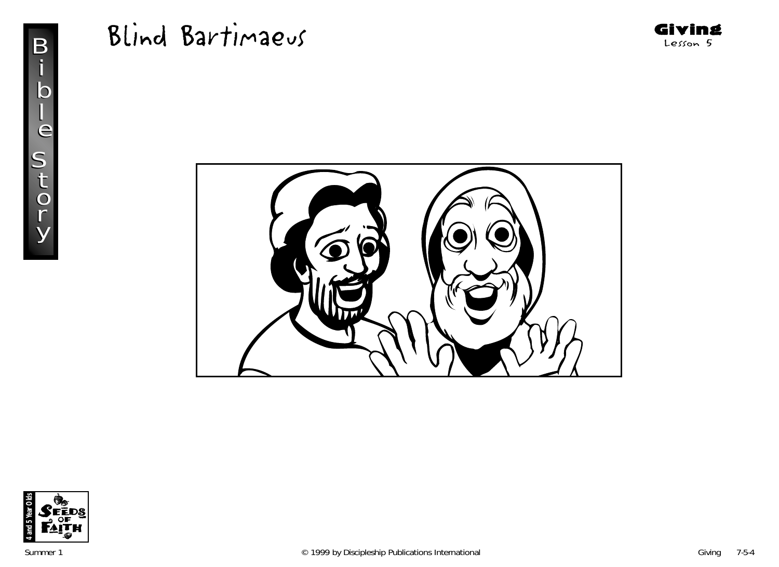





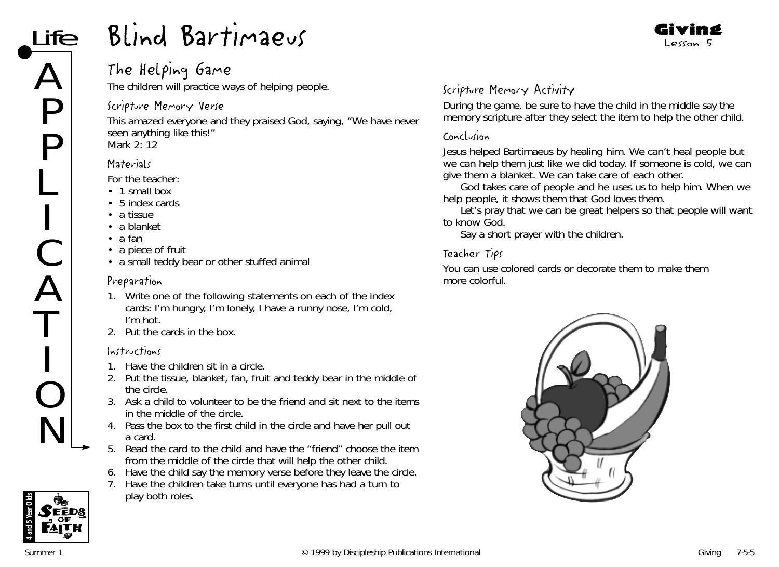## The Helping Game

The children will practice ways of helping people.

#### Scripture Memory Verse

This amazed everyone and they praised God, saying, "We have never seen anything like this!" *Mark 2: 12*

## **Materials**

*For the teacher:*

- 1 small box
- 5 index cards
- a tissue
- a blanket
- a fan
- a piece of fruit
- a small teddy bear or other stuffed animal

## Preparation

- 1. Write one of the following statements on each of the index cards: I'm hungry, I'm lonely, I have a runny nose, I'm cold, I'm hot.
- 2. Put the cards in the box.

## Instructions

- 1. Have the children sit in a circle.
- 2. Put the tissue, blanket, fan, fruit and teddy bear in the middle of the circle.
- 3. Ask a child to volunteer to be the friend and sit next to the items in the middle of the circle.
- 4. Pass the box to the first child in the circle and have her pull out a card.
- 5. Read the card to the child and have the "friend" choose the item from the middle of the circle that will help the other child.
- 6. Have the child say the memory verse before they leave the circle.
- 7. Have the children take turns until everyone has had a turn to play both roles.

## Scripture Memory Activity

During the game, be sure to have the child in the middle say the memory scripture after they select the item to help the other child.

Giving Lesson 5

## Conclusion

*Jesus helped Bartimaeus by healing him. We can't heal people but we can help them just like we did today. If someone is cold, we can give them a blanket. We can take care of each other.*

*God takes care of people and he uses us to help him. When we help people, it shows them that God loves them.*

*Let's pray that we can be great helpers so that people will want to know God.* 

Say a short prayer with the children.

## Teacher Tips

You can use colored cards or decorate them to make them more colorful.



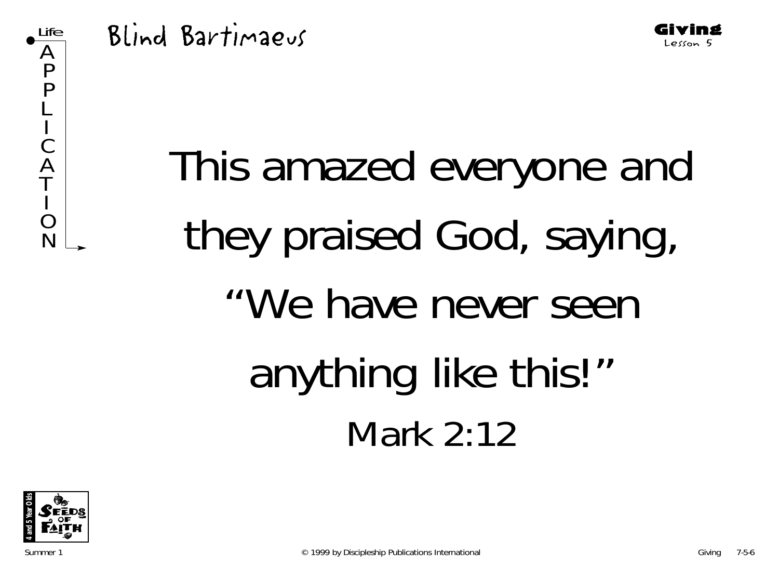





Giving Lesson 5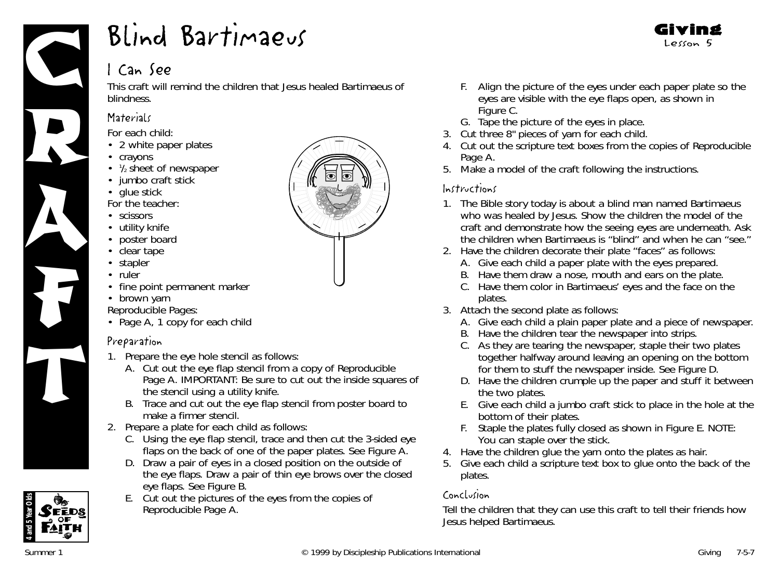

## I Can See

This craft will remind the children that Jesus healed Bartimaeus of blindness.

## **Materials**

*For each child:*

- 2 white paper plates
- crayons
- 1/2 sheet of newspaper
- jumbo craft stick
- glue stick

*For the teacher:*

- scissors
- utility knife
- poster board
- clear tape
- stapler
- ruler
- fine point permanent marker
- brown yarn

*Reproducible Pages:*

• Page A, 1 copy for each child

## Preparation

- 1. Prepare the eye hole stencil as follows:
	- A. Cut out the eye flap stencil from a copy of Reproducible Page A. IMPORTANT: Be sure to cut out the inside squares of the stencil using a utility knife.
	- B. Trace and cut out the eye flap stencil from poster board to make a firmer stencil.
- 2. Prepare a plate for each child as follows:
	- C. Using the eye flap stencil, trace and then cut the 3-sided eye flaps on the back of one of the paper plates. See Figure A.
	- D. Draw a pair of eyes in a closed position on the outside of the eye flaps. Draw a pair of thin eye brows over the closed eye flaps. See Figure B.
	- E. Cut out the pictures of the eyes from the copies of Reproducible Page A.



Giving Lesson 5

- G. Tape the picture of the eyes in place.
- 3. Cut three 8" pieces of yarn for each child.
- 4. Cut out the scripture text boxes from the copies of Reproducible Page A.
- 5. Make a model of the craft following the instructions.

### Instructions

- 1. *The Bible story today is about a blind man named Bartimaeus who was healed by Jesus.* Show the children the model of the craft and demonstrate how the seeing eyes are underneath. Ask the children when Bartimaeus is "blind" and when he can "see."
- 2. Have the children decorate their plate "faces" as follows:
	- A. Give each child a paper plate with the eyes prepared.
	- B. Have them draw a nose, mouth and ears on the plate.
	- C. Have them color in Bartimaeus' eyes and the face on the plates.
- 3. Attach the second plate as follows:
	- A. Give each child a plain paper plate and a piece of newspaper.
	- B. Have the children tear the newspaper into strips.
	- C. As they are tearing the newspaper, staple their two plates together halfway around leaving an opening on the bottom for them to stuff the newspaper inside. See Figure D.
	- D. Have the children crumple up the paper and stuff it between the two plates.
	- E. Give each child a jumbo craft stick to place in the hole at the bottom of their plates.
	- F. Staple the plates fully closed as shown in Figure E. NOTE: You can staple over the stick.
- 4. Have the children glue the yarn onto the plates as hair.
- 5. Give each child a scripture text box to glue onto the back of the plates.

## Conclusion

Tell the children that they can use this craft to tell their friends how Jesus helped Bartimaeus.



**4 and 5 Year Olds**

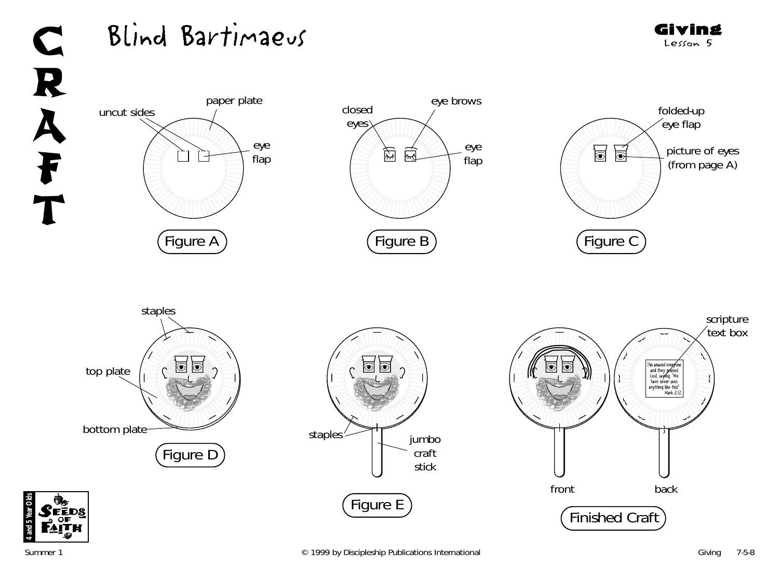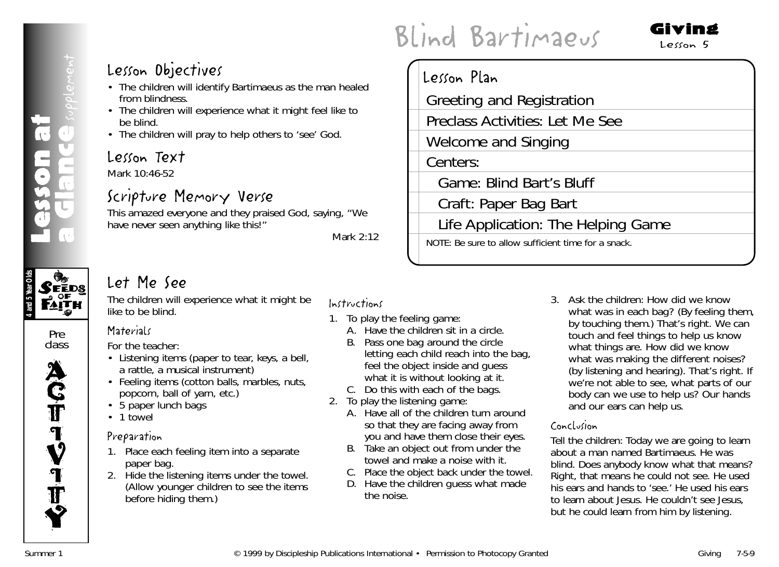

Pre class



## Lesson Objectives

- The children will identify Bartimaeus as the man healed from blindness.
- The children will experience what it might feel like to be blind.
- The children will pray to help others to 'see' God.

## Lesson Text

Mark 10:46-52

## Scripture Memory Verse

This amazed everyone and they praised God, saying, "We have never seen anything like this!"

*Mark 2:12*

## Let Me See

The children will experience what it might be like to be blind.

*For the teacher:*

**Materials** 

- Listening items (paper to tear, keys, a bell, a rattle, a musical instrument)
- Feeling items (cotton balls, marbles, nuts, popcorn, ball of yarn, etc.)
- 5 paper lunch bags
- 1 towel

## Preparation

- 1. Place each feeling item into a separate paper bag.
- 2. Hide the listening items under the towel. (Allow younger children to see the items before hiding them.)

### Instructions

- 1. To play the feeling game:
	- A. Have the children sit in a circle.
	- B. Pass one bag around the circle letting each child reach into the bag, feel the object inside and guess what it is without looking at it.
	- C. Do this with each of the bags.
- 2. To play the listening game:
	- A. Have all of the children turn around so that they are facing away from you and have them close their eyes.
	- B. Take an object out from under the towel and make a noise with it.
	- C. Place the object back under the towel.
	- D. Have the children guess what made the noise.

# Blind Bartimaeus

## Lesson Plan Greeting and Registration Preclass Activities: Let Me See Welcome and Singing Centers: Game: Blind Bart's Bluff Craft: Paper Bag Bart Life Application: The Helping Game NOTE: Be sure to allow sufficient time for a snack.

3. Ask the children: *How did we know what was in each bag*? (By feeling them, by touching them.) *That's right. We can touch and feel things to help us know what things are. How did we know what was making the different noises?* (by listening and hearing). *That's right. If we're not able to see, what parts of our body can we use to help us? Our hands and our ears can help us.*

Giving  $Lekon$  5

#### Conclusion

Tell the children: *Today we are going to learn about a man named Bartimaeus. He was blind. Does anybody know what that means? Right, that means he could not see. He used his ears and hands to 'see.' He used his ears to learn about Jesus. He couldn't see Jesus, but he could learn from him by listening.*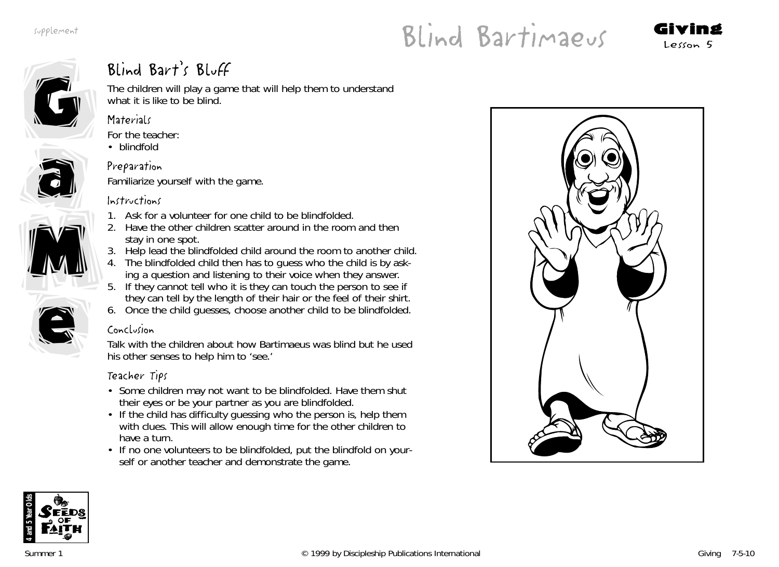# Blind Bartimaeus Giving





## Blind Bart's Bluff

Familiarize yourself with the game.

The children will play a game that will help them to understand what it is like to be blind.

## **Materials**



• blindfold

## Preparation



M

e

e



- 1. Ask for a volunteer for one child to be blindfolded.
- 2. Have the other children scatter around in the room and then stay in one spot.
- 3. Help lead the blindfolded child around the room to another child.
- 4. The blindfolded child then has to guess who the child is by asking a question and listening to their voice when they answer.
- 5. If they cannot tell who it is they can touch the person to see if they can tell by the length of their hair or the feel of their shirt.
- 6. Once the child guesses, choose another child to be blindfolded.

## Conclusion

Talk with the children about how Bartimaeus was blind but he used his other senses to help him to 'see.'

## Teacher Tips

- Some children may not want to be blindfolded. Have them shut their eyes or be your partner as you are blindfolded.
- If the child has difficulty guessing who the person is, help them with clues. This will allow enough time for the other children to have a turn.
- If no one volunteers to be blindfolded, put the blindfold on yourself or another teacher and demonstrate the game.





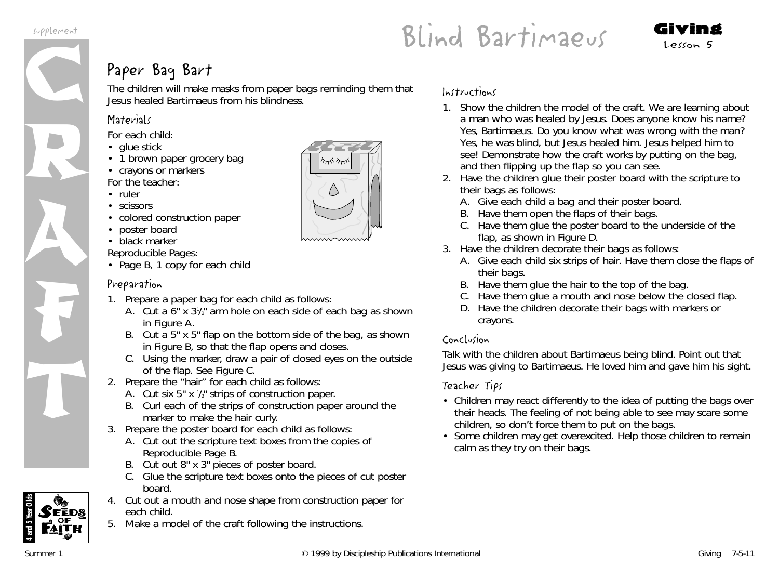

## Paper Baq Bart

The children will make masks from paper bags reminding them that Jesus healed Bartimaeus from his blindness.

## **Materials**

*For each child:*

- glue stick
- 1 brown paper grocery bag
- crayons or markers *For the teacher:*
- ruler
- scissors
- colored construction paper
- poster board
- black marker

*Reproducible Pages:*

• Page B, 1 copy for each child

## Preparation

- 1. Prepare a paper bag for each child as follows:
	- A. Cut a 6" x 31 /2" arm hole on each side of each bag as shown in Figure A.
	- B. Cut a 5" x 5" flap on the bottom side of the bag, as shown in Figure B, so that the flap opens and closes.
	- C. Using the marker, draw a pair of closed eyes on the outside of the flap. See Figure C.
- 2. Prepare the "hair" for each child as follows:
	- A. Cut six 5" x 1 /2" strips of construction paper.
	- B. Curl each of the strips of construction paper around the marker to make the hair curly.
- 3. Prepare the poster board for each child as follows:
	- A. Cut out the scripture text boxes from the copies of Reproducible Page B.
	- B. Cut out 8" x 3" pieces of poster board.
	- C. Glue the scripture text boxes onto the pieces of cut poster board.
- 4. Cut out a mouth and nose shape from construction paper for each child.
- 5. Make a model of the craft following the instructions.

#### Instructions

- 1. Show the children the model of the craft. *We are learning about a man who was healed by Jesus. Does anyone know his name? Yes, Bartimaeus. Do you know what was wrong with the man? Yes, he was blind, but Jesus healed him. Jesus helped him to see!* Demonstrate how the craft works by putting on the bag, and then flipping up the flap so you can see.
- 2. Have the children glue their poster board with the scripture to their bags as follows:
	- A. Give each child a bag and their poster board.
	- B. Have them open the flaps of their bags.

Blind Bartimaeus Giving Lesson 5

- C. Have them glue the poster board to the underside of the flap, as shown in Figure D.
- 3. Have the children decorate their bags as follows:
	- A. Give each child six strips of hair. Have them close the flaps of their bags.
	- B. Have them glue the hair to the top of the bag.
	- C. Have them glue a mouth and nose below the closed flap.
	- D. Have the children decorate their bags with markers or crayons.

### Conclusion

Talk with the children about Bartimaeus being blind. Point out that Jesus was giving to Bartimaeus. He loved him and gave him his sight.

### Teacher Tips

- Children may react differently to the idea of putting the bags over their heads. The feeling of not being able to see may scare some children, so don't force them to put on the bags.
- Some children may get overexcited. Help those children to remain calm as they try on their bags.



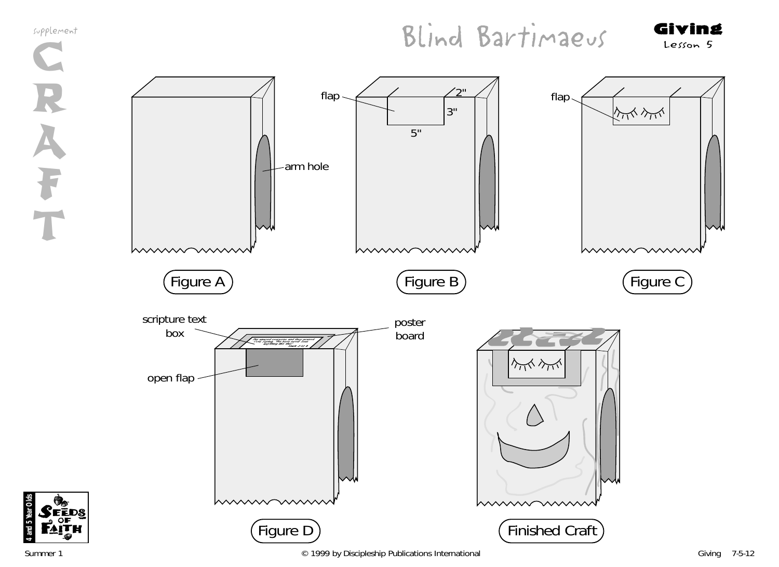

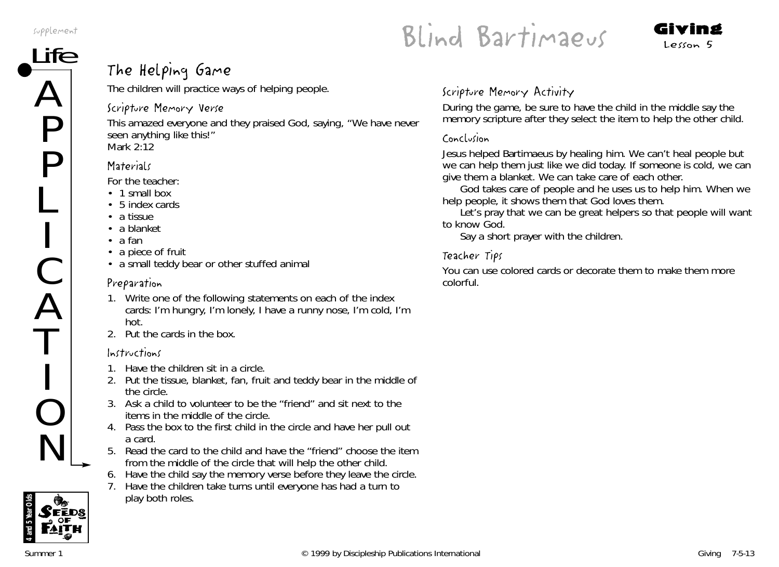$\boldsymbol{\mathcal{L}}$ 

P

P

L

I

C

 $\boldsymbol{\mathcal{L}}$ 

T

I

O

N



# $\overline{\text{TE}}$  The Helping Game

The children will practice ways of helping people.

## Scripture Memory Verse

This amazed everyone and they praised God, saying, "We have never seen anything like this!" *Mark 2:12*

## **Materials**

*For the teacher:*

- 1 small box
- 5 index cards
- a tissue
- a blanket
- a fan
- a piece of fruit
- a small teddy bear or other stuffed animal

## Preparation

- 1. Write one of the following statements on each of the index cards: I'm hungry, I'm lonely, I have a runny nose, I'm cold, I'm hot.
- 2. Put the cards in the box.

## Instructions

- 1. Have the children sit in a circle.
- 2. Put the tissue, blanket, fan, fruit and teddy bear in the middle of the circle.
- 3. Ask a child to volunteer to be the "friend" and sit next to the items in the middle of the circle.
- 4. Pass the box to the first child in the circle and have her pull out a card.
- 5. Read the card to the child and have the "friend" choose the item from the middle of the circle that will help the other child.
- 6. Have the child say the memory verse before they leave the circle.
- 7. Have the children take turns until everyone has had a turn to play both roles.

## Scripture Memory Activity

During the game, be sure to have the child in the middle say the memory scripture after they select the item to help the other child.

#### Conclusion

*Jesus helped Bartimaeus by healing him. We can't heal people but we can help them just like we did today. If someone is cold, we can give them a blanket. We can take care of each other.*

*God takes care of people and he uses us to help him. When we help people, it shows them that God loves them.*

*Let's pray that we can be great helpers so that people will want to know God.* 

Say a short prayer with the children.

## Teacher Tips

You can use colored cards or decorate them to make them more colorful.

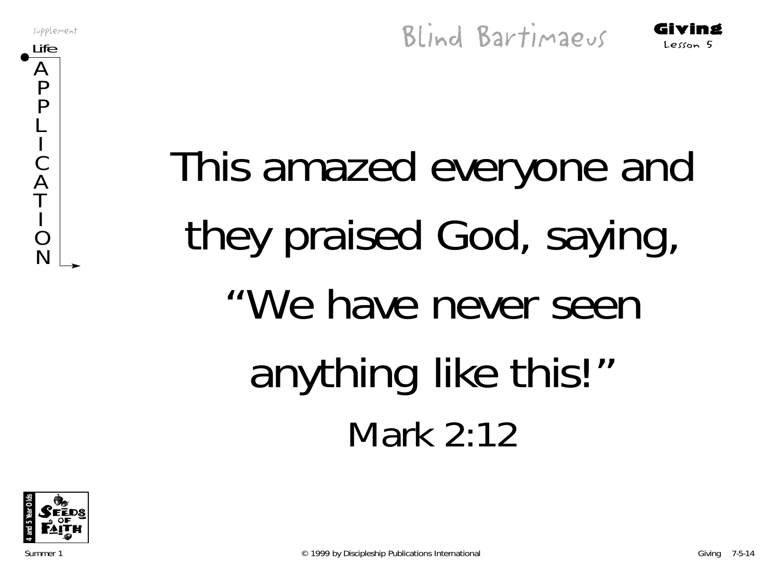$\boldsymbol{\mathsf{A}}$ P P L I C  $\boldsymbol{\mathsf{\rho}}$ T I  $\bf C$ N

Supplement<br>Life Giving Blind Bartimaeus Giving

# This amazed everyone and they praised God, saying, "We have never seen anything like this!" Mark 2:12

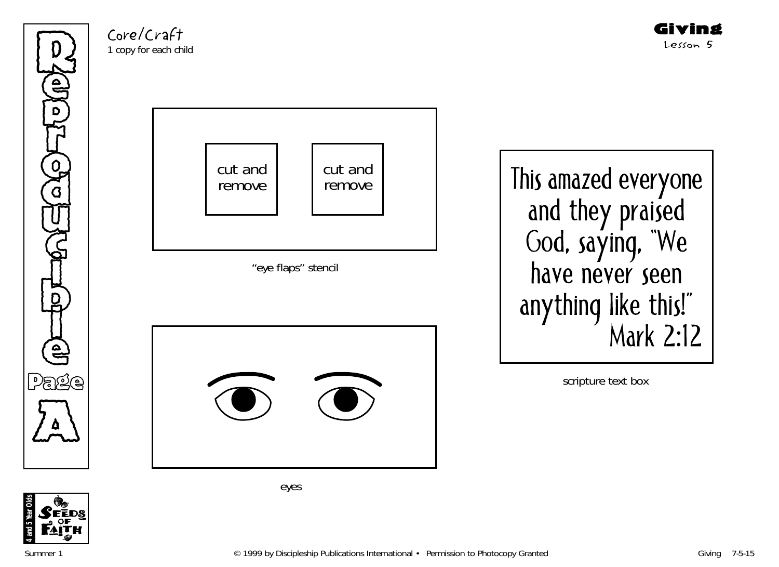Refer p **THE** ِ<br>مي ີ<br>ດ U  $\mathbb{G}% _{n}^{X}$ )<br>D t<br>D<br>D<br>C<br>D l e Page  $\sum_{\Delta}$ 

Core/Craft 1 copy for each child





eyes